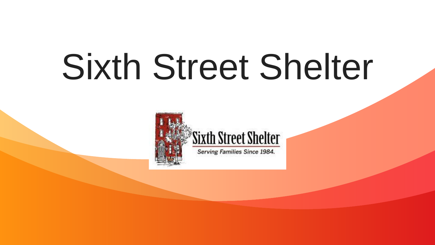## Sixth Street Shelter

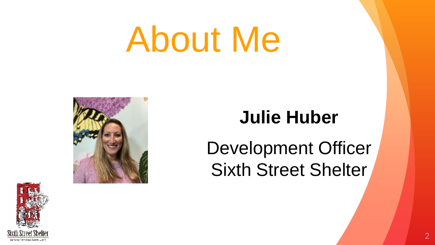## About Me



### **Julie Huber**

Development Officer Sixth Street Shelter

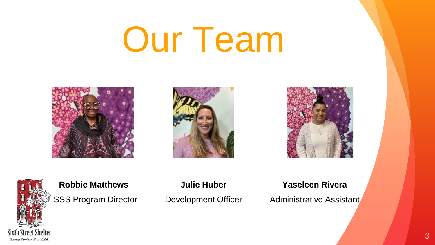## Our Team









**Robbie Matthews Julie Huber Yaseleen Rivera**

SSS Program Director Development Officer Administrative Assistant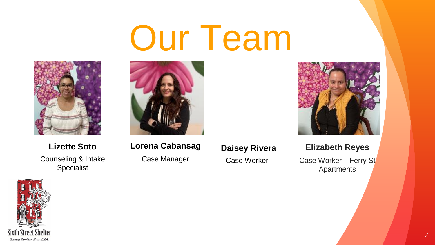## Our Team



Counseling & Intake Specialist



**Lizette Soto Daisey Rivera Lorena Cabansag**

Case Manager

Case Worker



**Elizabeth Reyes**

Case Worker – Ferry St Apartments

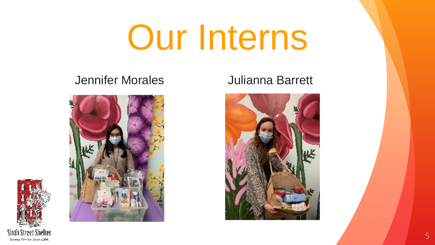## Our Interns

#### Jennifer Morales Julianna Barrett





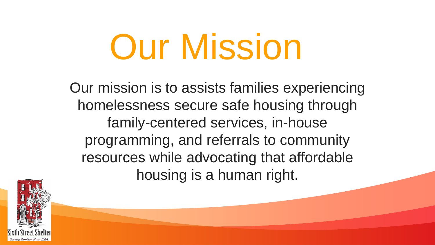## **Our Mission**

Our mission is to assists families experiencing homelessness secure safe housing through family-centered services, in-house programming, and referrals to community resources while advocating that affordable housing is a human right.

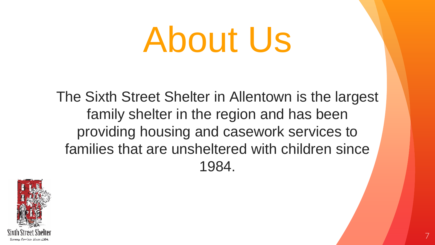## About Us

The Sixth Street Shelter in Allentown is the largest family shelter in the region and has been providing housing and casework services to families that are unsheltered with children since 1984.

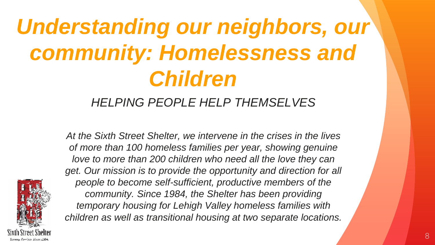### *Understanding our neighbors, our community: Homelessness and Children*

#### *HELPING PEOPLE HELP THEMSELVES*

*At the Sixth Street Shelter, we intervene in the crises in the lives of more than 100 homeless families per year, showing genuine love to more than 200 children who need all the love they can get. Our mission is to provide the opportunity and direction for all people to become self-sufficient, productive members of the community. Since 1984, the Shelter has been providing temporary housing for Lehigh Valley homeless families with children as well as transitional housing at two separate locations.*

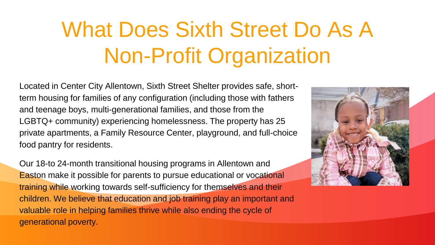### What Does Sixth Street Do As A Non-Profit Organization

Located in Center City Allentown, Sixth Street Shelter provides safe, shortterm housing for families of any configuration (including those with fathers and teenage boys, multi-generational families, and those from the LGBTQ+ community) experiencing homelessness. The property has 25 private apartments, a Family Resource Center, playground, and full-choice food pantry for residents.

Our 18-to 24-month transitional housing programs in Allentown and Easton make it possible for parents to pursue educational or vocational training while working towards self-sufficiency for themselves and their children. We believe that education and job training play an important and valuable role in helping families thrive while also ending the cycle of generational poverty.

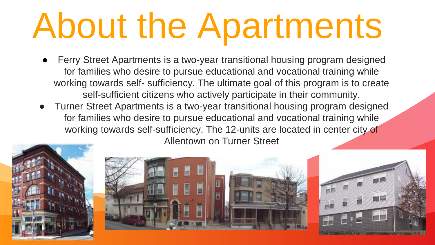## About the Apartments

- Ferry Street Apartments is a two-year transitional housing program designed for families who desire to pursue educational and vocational training while working towards self- sufficiency. The ultimate goal of this program is to create self-sufficient citizens who actively participate in their community.
- Turner Street Apartments is a two-year transitional housing program designed for families who desire to pursue educational and vocational training while working towards self-sufficiency. The 12-units are located in center city of Allentown on Turner Street





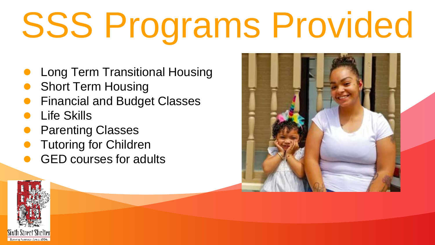## SSS Programs Provided

- **Long Term Transitional Housing**
- **Short Term Housing**
- **Financial and Budget Classes**
- **Life Skills**
- **Parenting Classes**
- **Tutoring for Children**
- **GED courses for adults**



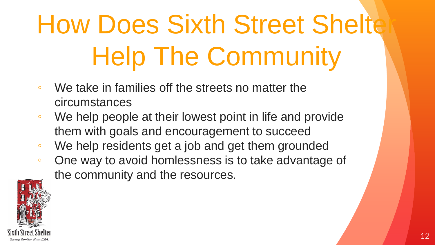### **How Does Sixth Street Shelte** Help The Community

- We take in families off the streets no matter the circumstances
- We help people at their lowest point in life and provide them with goals and encouragement to succeed
- We help residents get a job and get them grounded
- One way to avoid homlessness is to take advantage of the community and the resources.

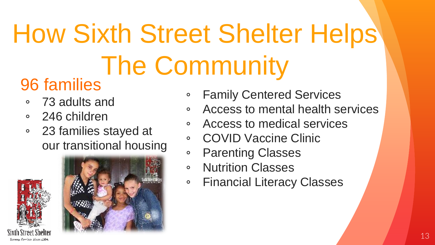### How Sixth Street Shelter Helps The Community

### 96 families

- 73 adults and
- 246 children
- 23 families stayed at our transitional housing





- **Family Centered Services**
- Access to mental health services
- Access to medical services
- COVID Vaccine Clinic
- Parenting Classes
- Nutrition Classes
- Financial Literacy Classes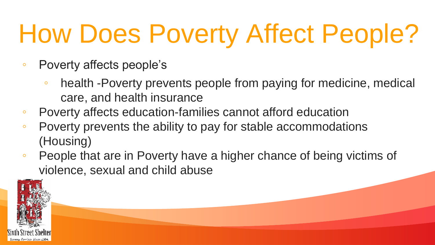### How Does Poverty Affect People?

- Poverty affects people's
	- health -Poverty prevents people from paying for medicine, medical care, and health insurance
- Poverty affects education-families cannot afford education
- Poverty prevents the ability to pay for stable accommodations (Housing)
- People that are in Poverty have a higher chance of being victims of violence, sexual and child abuse

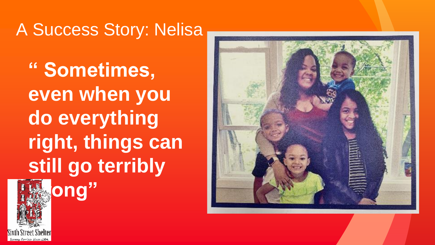### A Success Story: Nelisa

**" Sometimes, even when you do everything right, things can still go terribly** 



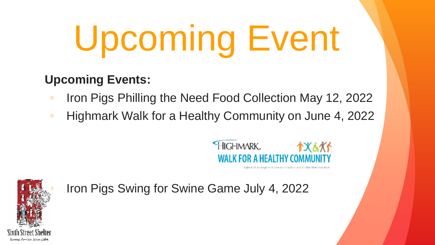# Upcoming Event

#### **Upcoming Events:**

- Iron Pigs Philling the Need Food Collection May 12, 2022
- Highmark Walk for a Healthy Community on June 4, 2022



Highmarick an independent Upersee of the Blue Cross and Blue Shield Association



◦ Iron Pigs Swing for Swine Game July 4, 2022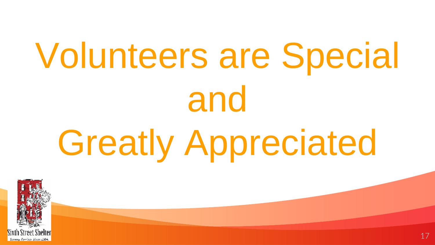# Volunteers are Special and Greatly Appreciated

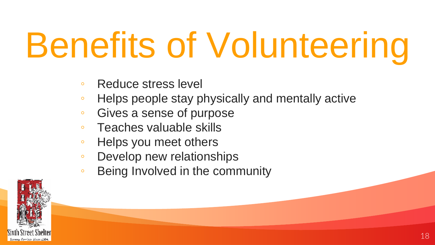## Benefits of Volunteering

- Reduce stress level
- Helps people stay physically and mentally active
- Gives a sense of purpose
- Teaches valuable skills
- Helps you meet others
- Develop new relationships
- Being Involved in the community

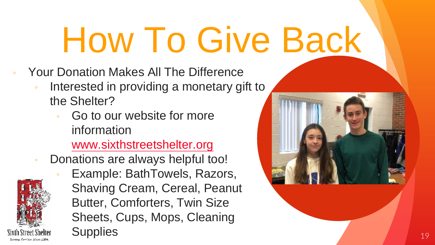## How To Give Back

- Your Donation Makes All The Difference
	- Interested in providing a monetary gift to the Shelter?
		- Go to our website for more information

#### [www.sixthstreetshelter.org](http://www.sixthstreetshelter@.org)

Donations are always helpful too!



Example: BathTowels, Razors, Shaving Cream, Cereal, Peanut Butter, Comforters, Twin Size Sheets, Cups, Mops, Cleaning Supplies and the state of the state of the state of the state of the state of the state of the state of the state of the state of the state of the state of the state of the state of the state of the state of the state of t